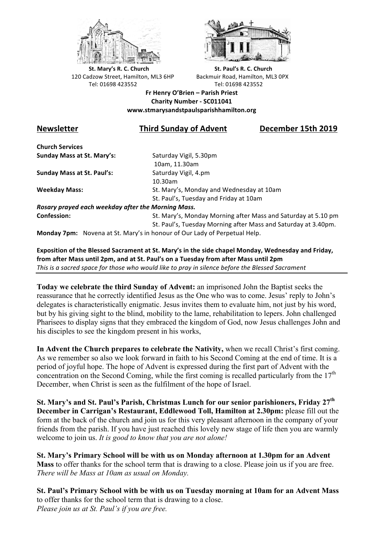



**St.** Mary's R. C. Church St. Paul's R. C. Church 120 Cadzow Street, Hamilton, ML3 6HP Backmuir Road, Hamilton, ML3 0PX Tel: 01698 423552 Tel: 01698 423552

**Fr Henry O'Brien – Parish Priest Charity Number - SC011041 www.stmarysandstpaulsparishhamilton.org**

## **Newsletter Third Sunday of Advent December 15th 2019**

**Church Services Sunday Mass at St. Mary's:** Saturday Vigil, 5.30pm

**Sunday Mass at St. Paul's:** Saturday Vigil, 4.pm

 10am, 11.30am 10.30am **Weekday Mass:** St. Mary's, Monday and Wednesday at 10am St. Paul's, Tuesday and Friday at 10am

*Rosary prayed each weekday after the Morning Mass.* **Confession:** St. Mary's, Monday Morning after Mass and Saturday at 5.10 pm

St. Paul's, Tuesday Morning after Mass and Saturday at 3.40pm.

**Monday 7pm:** Novena at St. Mary's in honour of Our Lady of Perpetual Help.

Exposition of the Blessed Sacrament at St. Mary's in the side chapel Monday, Wednesday and Friday, from after Mass until 2pm, and at St. Paul's on a Tuesday from after Mass until 2pm This is a sacred space for those who would like to pray in silence before the Blessed Sacrament

**Today we celebrate the third Sunday of Advent:** an imprisoned John the Baptist seeks the reassurance that he correctly identified Jesus as the One who was to come. Jesus' reply to John's delegates is characteristically enigmatic. Jesus invites them to evaluate him, not just by his word, but by his giving sight to the blind, mobility to the lame, rehabilitation to lepers. John challenged Pharisees to display signs that they embraced the kingdom of God, now Jesus challenges John and his disciples to see the kingdom present in his works,

**In Advent the Church prepares to celebrate the Nativity,** when we recall Christ's first coming. As we remember so also we look forward in faith to his Second Coming at the end of time. It is a period of joyful hope. The hope of Advent is expressed during the first part of Advent with the concentration on the Second Coming, while the first coming is recalled particularly from the  $17<sup>th</sup>$ December, when Christ is seen as the fulfilment of the hope of Israel.

**St. Mary's and St. Paul's Parish, Christmas Lunch for our senior parishioners, Friday 27th December in Carrigan's Restaurant, Eddlewood Toll, Hamilton at 2.30pm:** please fill out the form at the back of the church and join us for this very pleasant afternoon in the company of your friends from the parish. If you have just reached this lovely new stage of life then you are warmly welcome to join us. *It is good to know that you are not alone!*

**St. Mary's Primary School will be with us on Monday afternoon at 1.30pm for an Advent Mass** to offer thanks for the school term that is drawing to a close. Please join us if you are free. *There will be Mass at 10am as usual on Monday.*

**St. Paul's Primary School with be with us on Tuesday morning at 10am for an Advent Mass**  to offer thanks for the school term that is drawing to a close. *Please join us at St. Paul's if you are free.*